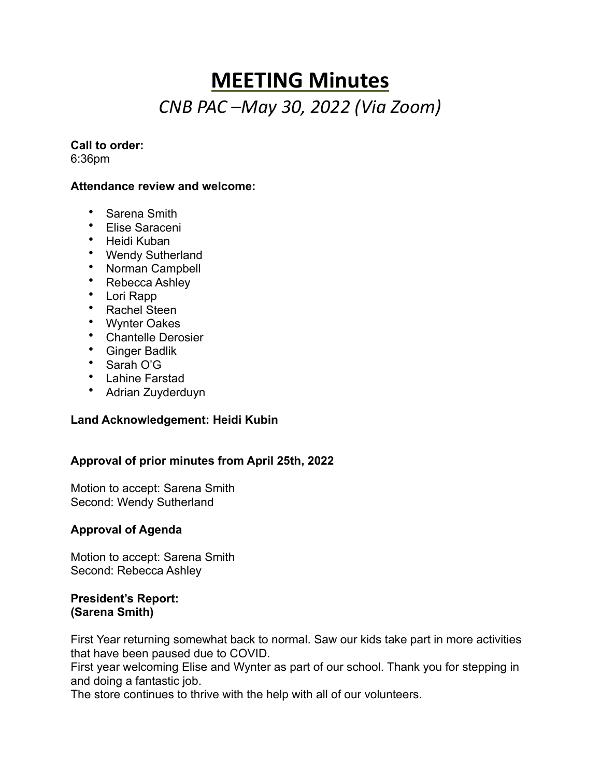## **MEETING Minutes** *CNB PAC –May 30, 2022 (Via Zoom)*

#### **Call to order:**

6:36pm

#### **Attendance review and welcome:**

- Sarena Smith
- Elise Saraceni
- Heidi Kuban
- Wendy Sutherland
- Norman Campbell
- Rebecca Ashley
- Lori Rapp
- Rachel Steen
- Wynter Oakes
- Chantelle Derosier
- Ginger Badlik
- Sarah O'G
- Lahine Farstad
- Adrian Zuyderduyn

#### **Land Acknowledgement: Heidi Kubin**

#### **Approval of prior minutes from April 25th, 2022**

Motion to accept: Sarena Smith Second: Wendy Sutherland

#### **Approval of Agenda**

Motion to accept: Sarena Smith Second: Rebecca Ashley

#### **President's Report: (Sarena Smith)**

First Year returning somewhat back to normal. Saw our kids take part in more activities that have been paused due to COVID.

First year welcoming Elise and Wynter as part of our school. Thank you for stepping in and doing a fantastic job.

The store continues to thrive with the help with all of our volunteers.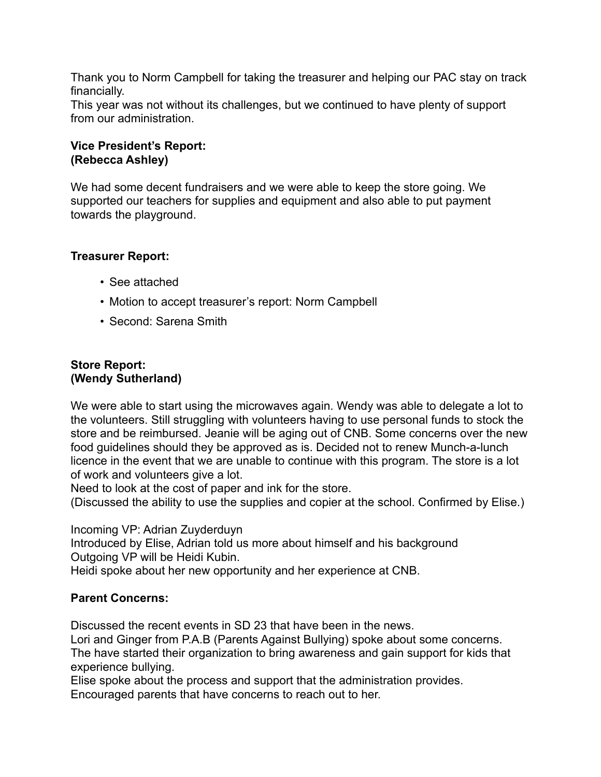Thank you to Norm Campbell for taking the treasurer and helping our PAC stay on track financially.

This year was not without its challenges, but we continued to have plenty of support from our administration.

#### **Vice President's Report: (Rebecca Ashley)**

We had some decent fundraisers and we were able to keep the store going. We supported our teachers for supplies and equipment and also able to put payment towards the playground.

#### **Treasurer Report:**

- See attached
- Motion to accept treasurer's report: Norm Campbell
- Second: Sarena Smith

#### **Store Report: (Wendy Sutherland)**

We were able to start using the microwaves again. Wendy was able to delegate a lot to the volunteers. Still struggling with volunteers having to use personal funds to stock the store and be reimbursed. Jeanie will be aging out of CNB. Some concerns over the new food guidelines should they be approved as is. Decided not to renew Munch-a-lunch licence in the event that we are unable to continue with this program. The store is a lot of work and volunteers give a lot.

Need to look at the cost of paper and ink for the store.

(Discussed the ability to use the supplies and copier at the school. Confirmed by Elise.)

Incoming VP: Adrian Zuyderduyn

Introduced by Elise, Adrian told us more about himself and his background Outgoing VP will be Heidi Kubin.

Heidi spoke about her new opportunity and her experience at CNB.

### **Parent Concerns:**

Discussed the recent events in SD 23 that have been in the news.

Lori and Ginger from P.A.B (Parents Against Bullying) spoke about some concerns. The have started their organization to bring awareness and gain support for kids that experience bullying.

Elise spoke about the process and support that the administration provides. Encouraged parents that have concerns to reach out to her.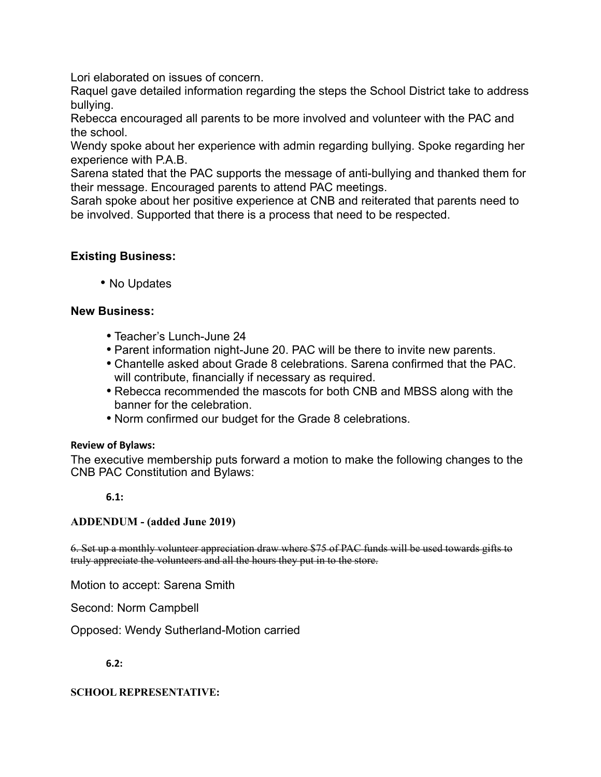Lori elaborated on issues of concern.

Raquel gave detailed information regarding the steps the School District take to address bullying.

Rebecca encouraged all parents to be more involved and volunteer with the PAC and the school.

Wendy spoke about her experience with admin regarding bullying. Spoke regarding her experience with P.A.B.

Sarena stated that the PAC supports the message of anti-bullying and thanked them for their message. Encouraged parents to attend PAC meetings.

Sarah spoke about her positive experience at CNB and reiterated that parents need to be involved. Supported that there is a process that need to be respected.

#### **Existing Business:**

• No Updates

#### **New Business:**

- Teacher's Lunch-June 24
- Parent information night-June 20. PAC will be there to invite new parents.
- Chantelle asked about Grade 8 celebrations. Sarena confirmed that the PAC. will contribute, financially if necessary as required.
- Rebecca recommended the mascots for both CNB and MBSS along with the banner for the celebration.
- Norm confirmed our budget for the Grade 8 celebrations.

#### **Review of Bylaws:**

The executive membership puts forward a motion to make the following changes to the CNB PAC Constitution and Bylaws:

**6.1:**

#### **ADDENDUM - (added June 2019)**

6. Set up a monthly volunteer appreciation draw where \$75 of PAC funds will be used towards gifts to truly appreciate the volunteers and all the hours they put in to the store.

Motion to accept: Sarena Smith

Second: Norm Campbell

Opposed: Wendy Sutherland-Motion carried

**6.2:**

#### **SCHOOL REPRESENTATIVE:**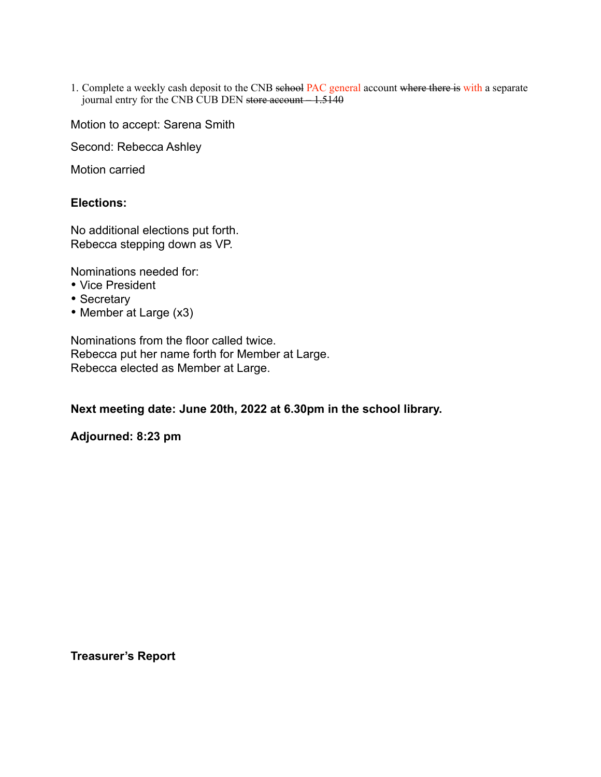1. Complete a weekly cash deposit to the CNB school PAC general account where there is with a separate journal entry for the CNB CUB DEN store account - 1.5140

Motion to accept: Sarena Smith

Second: Rebecca Ashley

Motion carried

#### **Elections:**

No additional elections put forth. Rebecca stepping down as VP.

Nominations needed for:

- Vice President
- Secretary
- Member at Large (x3)

Nominations from the floor called twice. Rebecca put her name forth for Member at Large. Rebecca elected as Member at Large.

**Next meeting date: June 20th, 2022 at 6.30pm in the school library.**

#### **Adjourned: 8:23 pm**

**Treasurer's Report**